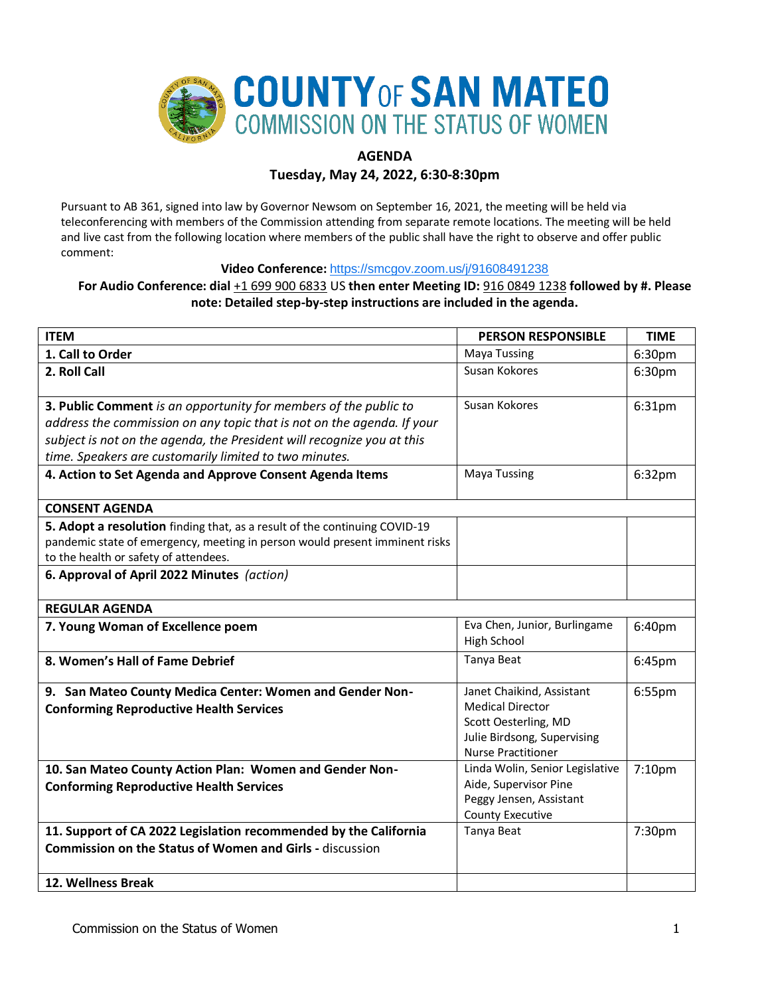

# **AGENDA**

## **Tuesday, May 24, 2022, 6:30-8:30pm**

Pursuant to AB 361, signed into law by Governor Newsom on September 16, 2021, the meeting will be held via teleconferencing with members of the Commission attending from separate remote locations. The meeting will be held and live cast from the following location where members of the public shall have the right to observe and offer public comment:

### **Video Conference:** <https://smcgov.zoom.us/j/91608491238>

## **For Audio Conference: dial** +1 699 900 6833 US **then enter Meeting ID:** 916 0849 1238 **followed by #. Please note: Detailed step-by-step instructions are included in the agenda.**

| <b>ITEM</b>                                                                                                                                                                                                                                                                    | <b>PERSON RESPONSIBLE</b>                                                                                                                | <b>TIME</b> |
|--------------------------------------------------------------------------------------------------------------------------------------------------------------------------------------------------------------------------------------------------------------------------------|------------------------------------------------------------------------------------------------------------------------------------------|-------------|
| 1. Call to Order                                                                                                                                                                                                                                                               | <b>Maya Tussing</b>                                                                                                                      | 6:30pm      |
| 2. Roll Call                                                                                                                                                                                                                                                                   | Susan Kokores                                                                                                                            | 6:30pm      |
| 3. Public Comment is an opportunity for members of the public to<br>address the commission on any topic that is not on the agenda. If your<br>subject is not on the agenda, the President will recognize you at this<br>time. Speakers are customarily limited to two minutes. | Susan Kokores                                                                                                                            | 6:31pm      |
| 4. Action to Set Agenda and Approve Consent Agenda Items                                                                                                                                                                                                                       | <b>Maya Tussing</b>                                                                                                                      | 6:32pm      |
| <b>CONSENT AGENDA</b>                                                                                                                                                                                                                                                          |                                                                                                                                          |             |
| 5. Adopt a resolution finding that, as a result of the continuing COVID-19<br>pandemic state of emergency, meeting in person would present imminent risks<br>to the health or safety of attendees.                                                                             |                                                                                                                                          |             |
| 6. Approval of April 2022 Minutes (action)                                                                                                                                                                                                                                     |                                                                                                                                          |             |
| <b>REGULAR AGENDA</b>                                                                                                                                                                                                                                                          |                                                                                                                                          |             |
| 7. Young Woman of Excellence poem                                                                                                                                                                                                                                              | Eva Chen, Junior, Burlingame<br>High School                                                                                              | 6:40pm      |
| 8. Women's Hall of Fame Debrief                                                                                                                                                                                                                                                | Tanya Beat                                                                                                                               | 6:45pm      |
| 9. San Mateo County Medica Center: Women and Gender Non-<br><b>Conforming Reproductive Health Services</b>                                                                                                                                                                     | Janet Chaikind, Assistant<br><b>Medical Director</b><br>Scott Oesterling, MD<br>Julie Birdsong, Supervising<br><b>Nurse Practitioner</b> | 6:55pm      |
| 10. San Mateo County Action Plan: Women and Gender Non-<br><b>Conforming Reproductive Health Services</b>                                                                                                                                                                      | Linda Wolin, Senior Legislative<br>Aide, Supervisor Pine<br>Peggy Jensen, Assistant<br><b>County Executive</b>                           | 7:10pm      |
| 11. Support of CA 2022 Legislation recommended by the California<br><b>Commission on the Status of Women and Girls - discussion</b>                                                                                                                                            | Tanya Beat                                                                                                                               | 7:30pm      |
| 12. Wellness Break                                                                                                                                                                                                                                                             |                                                                                                                                          |             |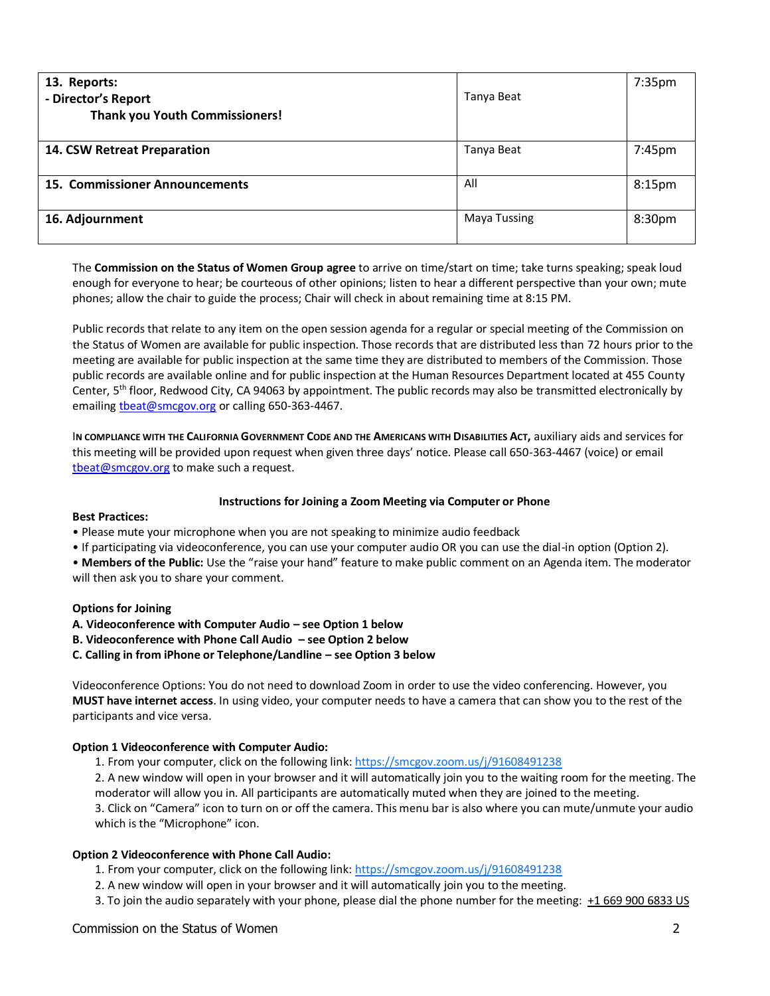| 13. Reports:<br>- Director's Report<br><b>Thank you Youth Commissioners!</b> | Tanya Beat          | 7:35pm             |
|------------------------------------------------------------------------------|---------------------|--------------------|
| 14. CSW Retreat Preparation                                                  | Tanya Beat          | 7:45pm             |
| 15. Commissioner Announcements                                               | All                 | 8:15 <sub>pm</sub> |
| 16. Adjournment                                                              | <b>Maya Tussing</b> | 8:30pm             |

The **Commission on the Status of Women Group agree** to arrive on time/start on time; take turns speaking; speak loud enough for everyone to hear; be courteous of other opinions; listen to hear a different perspective than your own; mute phones; allow the chair to guide the process; Chair will check in about remaining time at 8:15 PM.

Public records that relate to any item on the open session agenda for a regular or special meeting of the Commission on the Status of Women are available for public inspection. Those records that are distributed less than 72 hours prior to the meeting are available for public inspection at the same time they are distributed to members of the Commission. Those public records are available online and for public inspection at the Human Resources Department located at 455 County Center, 5th floor, Redwood City, CA 94063 by appointment. The public records may also be transmitted electronically by emailing theat@smcgov.org or calling 650-363-4467.

I**N COMPLIANCE WITH THE CALIFORNIA GOVERNMENT CODE AND THE AMERICANS WITH DISABILITIES ACT,** auxiliary aids and services for this meeting will be provided upon request when given three days' notice. Please call 650-363-4467 (voice) or email [tbeat@smcgov.org](mailto:tbeat@smcgov.org) to make such a request.

#### **Instructions for Joining a Zoom Meeting via Computer or Phone**

#### **Best Practices:**

- Please mute your microphone when you are not speaking to minimize audio feedback
- If participating via videoconference, you can use your computer audio OR you can use the dial-in option (Option 2).

• **Members of the Public:** Use the "raise your hand" feature to make public comment on an Agenda item. The moderator will then ask you to share your comment.

#### **Options for Joining**

**A. Videoconference with Computer Audio – see Option 1 below** 

- **B. Videoconference with Phone Call Audio – see Option 2 below**
- **C. Calling in from iPhone or Telephone/Landline – see Option 3 below**

Videoconference Options: You do not need to download Zoom in order to use the video conferencing. However, you **MUST have internet access**. In using video, your computer needs to have a camera that can show you to the rest of the participants and vice versa.

#### **Option 1 Videoconference with Computer Audio:**

1. From your computer, click on the following link[: https://smcgov.zoom.us/j/91608491238](https://smcgov.zoom.us/j/91608491238)

2. A new window will open in your browser and it will automatically join you to the waiting room for the meeting. The moderator will allow you in. All participants are automatically muted when they are joined to the meeting.

3. Click on "Camera" icon to turn on or off the camera. This menu bar is also where you can mute/unmute your audio which is the "Microphone" icon.

#### **Option 2 Videoconference with Phone Call Audio:**

- 1. From your computer, click on the following link:<https://smcgov.zoom.us/j/91608491238>
- 2. A new window will open in your browser and it will automatically join you to the meeting.
- 3. To join the audio separately with your phone, please dial the phone number for the meeting: +1 669 900 6833 US